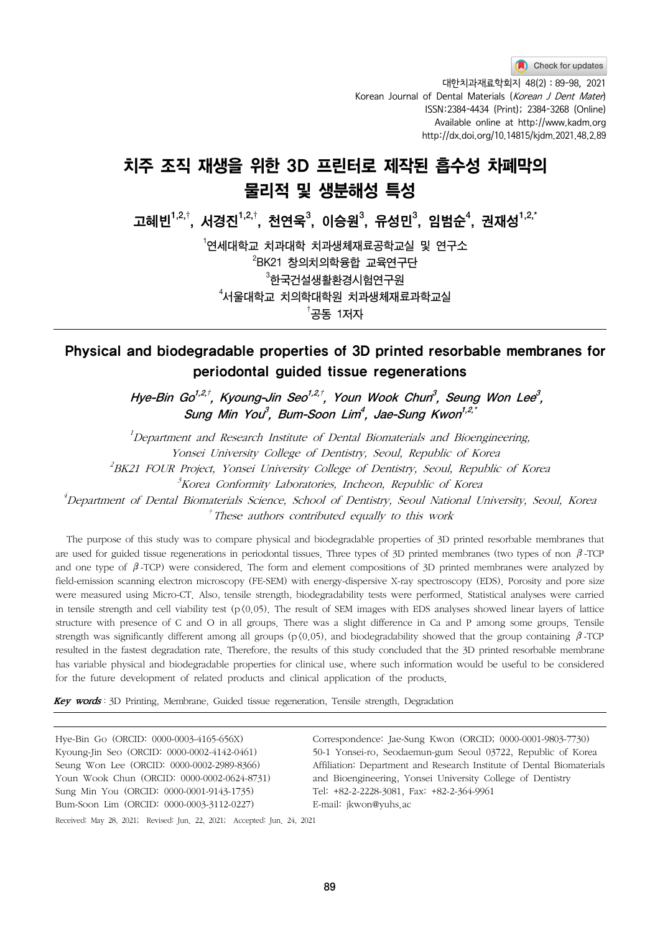Check for updates

 대한치과재료학회지 48(2) : 89-98, 2021 Korean Journal of Dental Materials (Korean J Dent Mater) ISSN:2384-4434 (Print); 2384-3268 (Online) Available online at http://www.kadm.org http://dx.doi.org/10.14815/kjdm.2021.48.2.89

# 치주 조직 재생을 위한 3D 프린터로 제작된 흡수성 차폐막의 물리적 및 생분해성 특성

고혜빈 $^{1,2,\dagger},\,$ 서경진 $^{1,2,\dagger},\,$  천연욱 $^{3},\,$  이승원 $^{3},\,$  유성민 $^{3},\,$  임범순 $^{4},\,$  권재성 $^{1,2,\dagger}$ 

 $^{\rm 1}$ 연세대학 $\rm\,$  치과내학 치과생체재료공학교실 및 연구소  $^{2}$ BK21 창의치의학융합 교육연구단  $^{\rm 3}$ 한국건설생활환경시험연구원  $^{\rm 4}$ 서울대학교 치의학대학원 치과생체재료과학교실  $^\dagger$ 공동 1저자

## Physical and biodegradable properties of 3D printed resorbable membranes for periodontal guided tissue regenerations

Hye-Bin Go<sup>1,2,†</sup>, Kyoung-Jin Seo<sup>1,2,†</sup>, Youn Wook Chun<sup>3</sup>, Seung Won Lee<sup>3</sup>, Sung Min You<sup>3</sup>, Bum-Soon Lim<sup>4</sup>, Jae-Sung Kwon<sup>1,2,\*</sup>

<sup>1</sup>Department and Research Institute of Dental Biomaterials and Bioengineering, Yonsei University College of Dentistry, Seoul, Republic of Korea  $^{2}$ BK21 FOUR Project, Yonsei University College of Dentistry, Seoul, Republic of Korea

 $\beta$ Korea Conformity Laboratories, Incheon, Republic of Korea

4 Department of Dental Biomaterials Science, School of Dentistry, Seoul National University, Seoul, Korea  $<sup>†</sup>$  These authors contributed equally to this work</sup>

The purpose of this study was to compare physical and biodegradable properties of 3D printed resorbable membranes that are used for guided tissue regenerations in periodontal tissues. Three types of 3D printed membranes (two types of non  $\beta$ -TCP and one type of  $\beta$ -TCP) were considered. The form and element compositions of 3D printed membranes were analyzed by field-emission scanning electron microscopy (FE-SEM) with energy-dispersive X-ray spectroscopy (EDS). Porosity and pore size were measured using Micro-CT. Also, tensile strength, biodegradability tests were performed. Statistical analyses were carried in tensile strength and cell viability test ( $p(0.05)$ ). The result of SEM images with EDS analyses showed linear layers of lattice structure with presence of C and O in all groups. There was a slight difference in Ca and P among some groups. Tensile strength was significantly different among all groups (p $(0.05)$ , and biodegradability showed that the group containing  $\beta$ -TCP resulted in the fastest degradation rate. Therefore, the results of this study concluded that the 3D printed resorbable membrane has variable physical and biodegradable properties for clinical use, where such information would be useful to be considered for the future development of related products and clinical application of the products.

Key words: 3D Printing, Membrane, Guided tissue regeneration, Tensile strength, Degradation

Hye-Bin Go (ORCID: 0000-0003-4165-656X) Kyoung-Jin Seo (ORCID: 0000-0002-4142-0461) Seung Won Lee (ORCID: 0000-0002-2989-8366) Youn Wook Chun (ORCID: 0000-0002-0624-8731) Sung Min You (ORCID: 0000-0001-9143-1735) Bum-Soon Lim (ORCID: 0000-0003-3112-0227)

Correspondence: Jae-Sung Kwon (ORCID; 0000-0001-9803-7730) 50-1 Yonsei-ro, Seodaemun-gum Seoul 03722, Republic of Korea Affiliation: Department and Research Institute of Dental Biomaterials and Bioengineering, Yonsei University College of Dentistry Tel: +82-2-2228-3081, Fax: +82-2-364-9961 E-mail: jkwon@yuhs.ac

Received: May 28, 2021; Revised: Jun. 22, 2021; Accepted: Jun. 24, 2021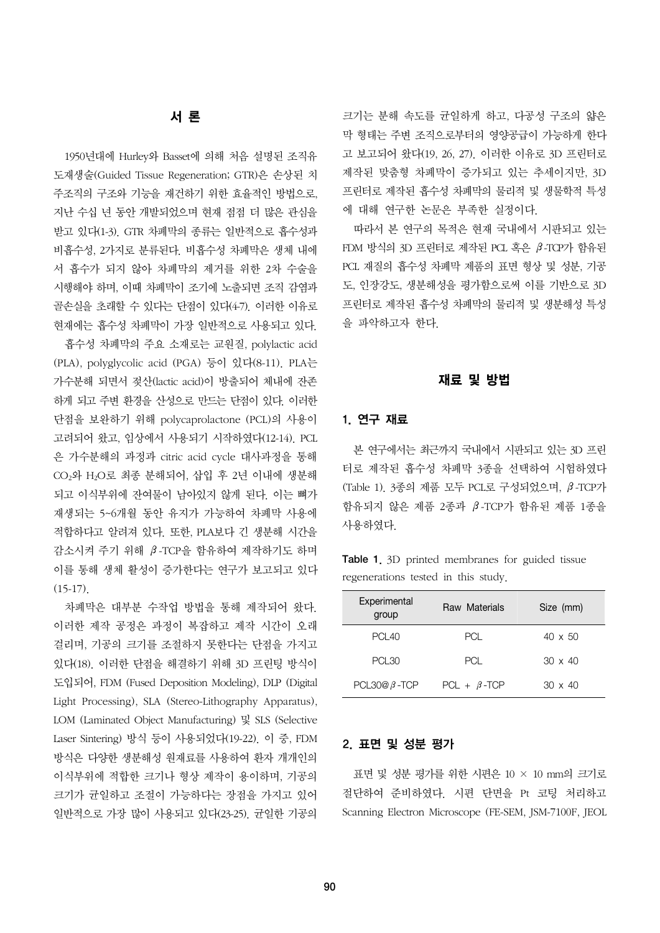## 서 론

1950년대에 Hurley와 Basset에 의해 처음 설명된 조직유 도재생술(Guided Tissue Regeneration; GTR)은 손상된 치 주조직의 구조와 기능을 재건하기 위한 효율적인 방법으로, 지난 수십 년 동안 개발되었으며 현재 점점 더 많은 관심을 받고 있다(1-3). GTR 차폐막의 종류는 일반적으로 흡수성과 비흡수성, 2가지로 분류된다. 비흡수성 차폐막은 생체 내에 서 흡수가 되지 않아 차폐막의 제거를 위한 2차 수술을 시행해야 하며, 이때 차폐막이 조기에 노출되면 조직 감염과 골손실을 초래할 수 있다는 단점이 있다(4-7). 이러한 이유로 현재에는 흡수성 차폐막이 가장 일반적으로 사용되고 있다.

흡수성 차폐막의 주요 소재로는 교원질, polylactic acid (PLA), polyglycolic acid (PGA) 등이 있다(8-11). PLA는 가수분해 되면서 젖산(lactic acid)이 방출되어 체내에 잔존 하게 되고 주변 환경을 산성으로 만드는 단점이 있다. 이러한 단점을 보완하기 위해 polycaprolactone (PCL)의 사용이 고려되어 왔고, 임상에서 사용되기 시작하였다(12-14). PCL 은 가수분해의 과정과 citric acid cycle 대사과정을 통해 CO2와 H2O로 최종 분해되어, 삽입 후 2년 이내에 생분해 되고 이식부위에 잔여물이 남아있지 않게 된다. 이는 뼈가 재생되는 5~6개월 동안 유지가 가능하여 차폐막 사용에 적합하다고 알려져 있다. 또한, PLA보다 긴 생분해 시간을 감소시켜 주기 위해 β-TCP을 함유하여 제작하기도 하며 이를 통해 생체 활성이 증가한다는 연구가 보고되고 있다  $(15-17)$ .

차폐막은 대부분 수작업 방법을 통해 제작되어 왔다. 이러한 제작 공정은 과정이 복잡하고 제작 시간이 오래 걸리며, 기공의 크기를 조절하지 못한다는 단점을 가지고 있다(18). 이러한 단점을 해결하기 위해 3D 프린팅 방식이 도입되어, FDM (Fused Deposition Modeling), DLP (Digital Light Processing), SLA (Stereo-Lithography Apparatus), LOM (Laminated Object Manufacturing) 및 SLS (Selective Laser Sintering) 방식 등이 사용되었다(19-22). 이 중, FDM 방식은 다양한 생분해성 원재료를 사용하여 환자 개개인의 이식부위에 적합한 크기나 형상 제작이 용이하며, 기공의 크기가 균일하고 조절이 가능하다는 장점을 가지고 있어 일반적으로 가장 많이 사용되고 있다(23-25). 균일한 기공의

크기는 분해 속도를 균일하게 하고, 다공성 구조의 얇은 막 형태는 주변 조직으로부터의 영양공급이 가능하게 한다 고 보고되어 왔다(19, 26, 27). 이러한 이유로 3D 프린터로 제작된 맞춤형 차폐막이 증가되고 있는 추세이지만, 3D 프린터로 제작된 흡수성 차폐막의 물리적 및 생물학적 특성 에 대해 연구한 논문은 부족한 실정이다.

따라서 본 연구의 목적은 현재 국내에서 시판되고 있는 FDM 방식의 3D 프린터로 제작된 PCL 혹은 β-TCP가 함유된 PCL 재질의 흡수성 차폐막 제품의 표면 형상 및 성분, 기공 도, 인장강도, 생분해성을 평가함으로써 이를 기반으로 3D 프린터로 제작된 흡수성 차폐막의 물리적 및 생분해성 특성 을 파악하고자 한다.

#### 재료 및 방법

#### 1. 연구 재료

본 연구에서는 최근까지 국내에서 시판되고 있는 3D 프린 터로 제작된 흡수성 차폐막 3종을 선택하여 시험하였다 (Table 1). 3종의 제품 모두 PCL로 구성되었으며, β-TCP가 함유되지 않은 제품 2종과 β-TCP가 함유된 제품 1종을 사용하였다.

Table 1. 3D printed membranes for guided tissue regenerations tested in this study.

| Experimental<br>group | Raw Materials      | Size (mm)      |
|-----------------------|--------------------|----------------|
| <b>PCI 40</b>         | PCI                | $40 \times 50$ |
| <b>PCI 30</b>         | PCI                | $30 \times 40$ |
| PCL30@ $\beta$ -TCP   | $PCL + \beta$ -TCP | $30 \times 40$ |

#### 2. 표면 및 성분 평가

표면 및 성분 평가를 위한 시편은 10 × 10 mm의 크기로 절단하여 준비하였다. 시편 단면을 Pt 코팅 처리하고 Scanning Electron Microscope (FE-SEM, JSM-7100F, JEOL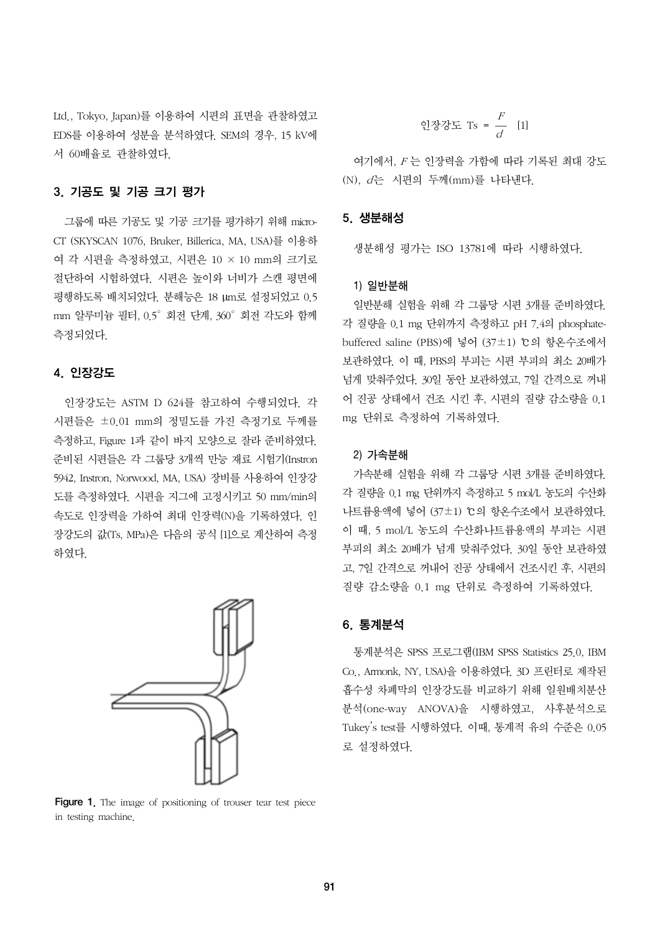Ltd., Tokyo, Japan)를 이용하여 시편의 표면을 관찰하였고 EDS를 이용하여 성분을 분석하였다. SEM의 경우, 15 kV에 서 60배율로 관찰하였다.

## 3. 기공도 및 기공 크기 평가

그룹에 따른 기공도 및 기공 크기를 평가하기 위해 micro-CT (SKYSCAN 1076, Bruker, Billerica, MA, USA)를 이용하 여 각 시편을 측정하였고, 시편은 10 × 10 mm의 크기로 절단하여 시험하였다. 시편은 높이와 너비가 스캔 평면에 평행하도록 배치되었다. 분해능은 18 µm로 설정되었고 0.5 mm 알루미늄 필터, 0.5°회전 단계, 360°회전 각도와 함께 측정되었다.

### 4. 인장강도

인장강도는 ASTM D 624를 참고하여 수행되었다. 각 시편들은 ±0.01 mm의 정밀도를 가진 측정기로 두께를 측정하고, Figure 1과 같이 바지 모양으로 잘라 준비하였다. 준비된 시편들은 각 그룹당 3개씩 만능 재료 시험기(Instron 5942, Instron, Norwood, MA, USA) 장비를 사용하여 인장강 도를 측정하였다. 시편을 지그에 고정시키고 50 mm/min의 속도로 인장력을 가하여 최대 인장력(N)을 기록하였다. 인 장강도의 값(Ts, MPa)은 다음의 공식 [1]으로 계산하여 측정 하였다.



Figure 1. The image of positioning of trouser tear test piece in testing machine.

인장강도 Ts = 
$$
\frac{F}{d}
$$
 [1]

여기에서, F 는 인장력을 가함에 따라 기록된 최대 강도 (N), d는 시편의 두께(mm)를 나타낸다.

#### 5. 생분해성

생분해성 평가는 ISO 13781에 따라 시행하였다.

#### 1) 일반분해

일반분해 실험을 위해 각 그룹당 시편 3개를 준비하였다. 각 질량을 0.1 mg 단위까지 측정하고 pH 7.4의 phosphatebuffered saline (PBS)에 넣어 (37±1) ℃의 항온수조에서 보관하였다. 이 때, PBS의 부피는 시편 부피의 최소 20배가 넘게 맞춰주었다. 30일 동안 보관하였고, 7일 간격으로 꺼내 어 진공 상태에서 건조 시킨 후, 시편의 질량 감소량을 0.1 mg 단위로 측정하여 기록하였다.

#### 2) 가속분해

가속분해 실험을 위해 각 그룹당 시편 3개를 준비하였다. 각 질량을 0.1 mg 단위까지 측정하고 5 mol/L 농도의 수산화 나트륨용액에 넣어 (37±1) ℃의 항온수조에서 보관하였다. 이 때, 5 mol/L 농도의 수산화나트륨용액의 부피는 시편 부피의 최소 20배가 넘게 맞춰주었다. 30일 동안 보관하였 고, 7일 간격으로 꺼내어 진공 상태에서 건조시킨 후, 시편의 질량 감소량을 0.1 mg 단위로 측정하여 기록하였다.

## 6. 통계분석

통계분석은 SPSS 프로그램(IBM SPSS Statistics 25.0, IBM Co., Armonk, NY, USA)을 이용하였다. 3D 프린터로 제작된 흡수성 차폐막의 인장강도를 비교하기 위해 일원배치분산 분석(one-way ANOVA)을 시행하였고, 사후분석으로 Tukey's test를 시행하였다. 이때, 통계적 유의 수준은 0.05 로 설정하였다.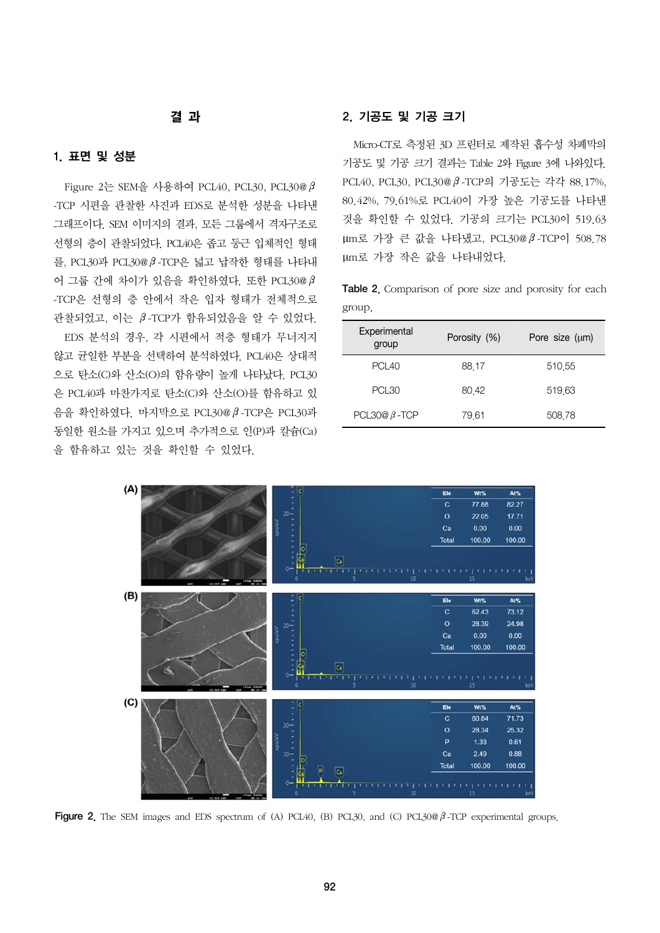## 결 과

## 1. 표면 및 성분

Figure 2는 SEM을 사용하여 PCL40, PCL30, PCL30@β -TCP 시편을 관찰한 사진과 EDS로 분석한 성분을 나타낸 그래프이다. SEM 이미지의 결과, 모든 그룹에서 격자구조로 선형의 층이 관찰되었다. PCL40은 좁고 둥근 입체적인 형태 를, PCL30과 PCL30@β-TCP은 넓고 납작한 형태를 나타내 어 그룹 간에 차이가 있음을 확인하였다. 또한 PCL30@β -TCP은 선형의 층 안에서 작은 입자 형태가 전체적으로 관찰되었고, 이는 β-TCP가 함유되었음을 알 수 있었다. EDS 분석의 경우, 각 시편에서 적층 형태가 무너지지 않고 균일한 부분을 선택하여 분석하였다. PCL40은 상대적 으로 탄소(C)와 산소(O)의 함유량이 높게 나타났다. PCL30 은 PCL40과 마찬가지로 탄소(C)와 산소(O)를 함유하고 있 음을 확인하였다. 마지막으로 PCL30@β-TCP은 PCL30과 동일한 원소를 가지고 있으며 추가적으로 인(P)과 칼슘(Ca) 을 함유하고 있는 것을 확인할 수 있었다.

## 2. 기공도 및 기공 크기

Micro-CT로 측정된 3D 프린터로 제작된 흡수성 차폐막의 기공도 및 기공 크기 결과는 Table 2와 Figure 3에 나와있다. PCL40, PCL30, PCL30@β-TCP의 기공도는 각각 88.17%, 80.42%, 79.61%로 PCL40이 가장 높은 기공도를 나타낸 것을 확인할 수 있었다. 기공의 크기는 PCL30이 519.63 µm로 가장 큰 값을 나타냈고, PCL30@β-TCP이 508.78 µm로 가장 작은 값을 나타내었다.

Table 2. Comparison of pore size and porosity for each group.

| Experimental<br>group | Porosity (%) | Pore size $(\mu m)$ |
|-----------------------|--------------|---------------------|
| PCL <sub>40</sub>     | 88.17        | 510.55              |
| <b>PCI 30</b>         | 80 42        | 519.63              |
| PCL30@ $\beta$ -TCP   | 79,61        | 508.78              |



Figure 2. The SEM images and EDS spectrum of (A) PCL40, (B) PCL30, and (C) PCL30@β-TCP experimental groups.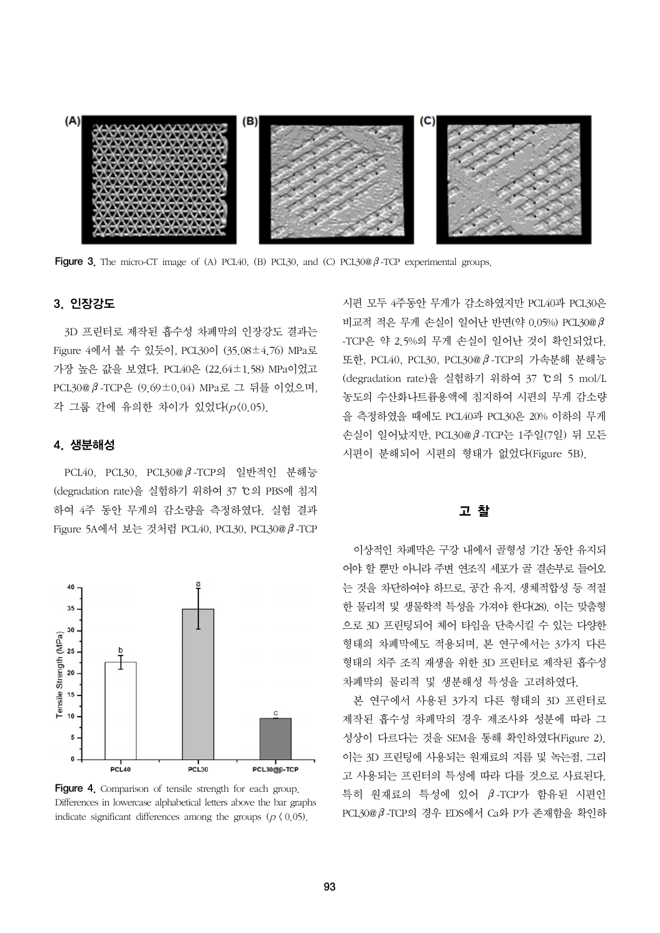

**Figure 3.** The micro-CT image of (A) PCL40, (B) PCL30, and (C) PCL30 $\emptyset$  *P*-TCP experimental groups.

#### 3. 인장강도

3D 프린터로 제작된 흡수성 차폐막의 인장강도 결과는 Figure 4에서 볼 수 있듯이, PCL30이 (35.08±4.76) MPa로 가장 높은 값을 보였다. PCL40은 (22.64±1.58) MPa이었고 PCL30@β-TCP은 (9.69±0.04) MPa로 그 뒤를 이었으며, 각 그룹 간에 유의한 차이가 있었다(p<0.05).

#### 4. 생분해성

PCL40, PCL30, PCL30@β-TCP의 일반적인 분해능 (degradation rate)을 실험하기 위하여 37 ℃의 PBS에 침지 하여 4주 동안 무게의 감소량을 측정하였다. 실험 결과 Figure 5A에서 보는 것처럼 PCL40, PCL30, PCL30@β-TCP



Figure 4. Comparison of tensile strength for each group. Differences in lowercase alphabetical letters above the bar graphs indicate significant differences among the groups ( $p \nmid 0.05$ ).

시편 모두 4주동안 무게가 감소하였지만 PCL40과 PCL30은 비교적 적은 무게 손실이 일어난 반면(약 0.05%) PCL30@β -TCP은 약 2.5%의 무게 손실이 일어난 것이 확인되었다. 또한, PCL40, PCL30, PCL30@β-TCP의 가속분해 분해능 (degradation rate)을 실험하기 위하여 37 ℃의 5 mol/L 농도의 수산화나트륨용액에 침지하여 시편의 무게 감소량 을 측정하였을 때에도 PCL40과 PCL30은 20% 이하의 무게 손실이 일어났지만, PCL30@β-TCP는 1주일(7일) 뒤 모든 시편이 분해되어 시편의 형태가 없었다(Figure 5B).

#### 고 찰

이상적인 차폐막은 구강 내에서 골형성 기간 동안 유지되 어야 할 뿐만 아니라 주변 연조직 세포가 골 결손부로 들어오 는 것을 차단하여야 하므로, 공간 유지, 생체적합성 등 적절 한 물리적 및 생물학적 특성을 가져야 한다(28). 이는 맞춤형 으로 3D 프린팅되어 체어 타임을 단축시킬 수 있는 다양한 형태의 차폐막에도 적용되며, 본 연구에서는 3가지 다른 형태의 치주 조직 재생을 위한 3D 프린터로 제작된 흡수성 차폐막의 물리적 및 생분해성 특성을 고려하였다.

본 연구에서 사용된 3가지 다른 형태의 3D 프린터로 제작된 흡수성 차폐막의 경우 제조사와 성분에 따라 그 성상이 다르다는 것을 SEM을 통해 확인하였다(Figure 2). 이는 3D 프린팅에 사용되는 원재료의 지름 및 녹는점, 그리 고 사용되는 프린터의 특성에 따라 다를 것으로 사료된다. 특히 원재료의 특성에 있어 β-TCP가 함유된 시편인 PCL30@β-TCP의 경우 EDS에서 Ca와 P가 존재함을 확인하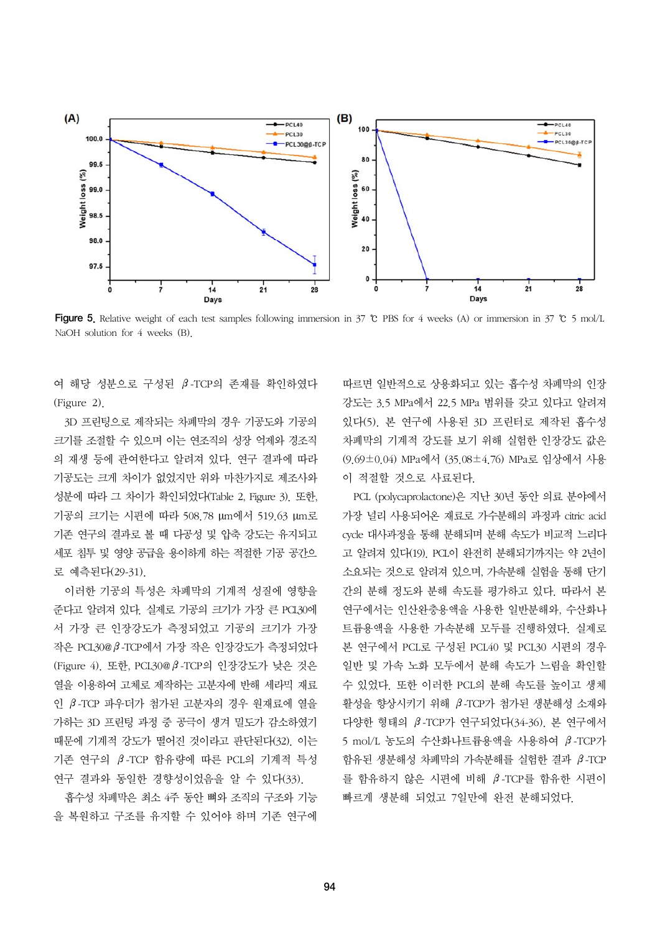

Figure 5. Relative weight of each test samples following immersion in 37 ℃ PBS for 4 weeks (A) or immersion in 37 ℃ 5 mol/L NaOH solution for 4 weeks (B).

여 해당 성분으로 구성된 β-TCP의 존재를 확인하였다 (Figure 2).

3D 프린팅으로 제작되는 차폐막의 경우 기공도와 기공의 크기를 조절할 수 있으며 이는 연조직의 성장 억제와 경조직 의 재생 등에 관여한다고 알려져 있다. 연구 결과에 따라 기공도는 크게 차이가 없었지만 위와 마찬가지로 제조사와 성분에 따라 그 차이가 확인되었다(Table 2, Figure 3). 또한, 기공의 크기는 시편에 따라 508.78 µm에서 519.63 µm로 기존 연구의 결과로 볼 때 다공성 및 압축 강도는 유지되고 세포 침투 및 영양 공급을 용이하게 하는 적절한 기공 공간으 로 예측된다(29-31).

이러한 기공의 특성은 차폐막의 기계적 성질에 영향을 준다고 알려져 있다. 실제로 기공의 크기가 가장 큰 PCL30에 서 가장 큰 인장강도가 측정되었고 기공의 크기가 가장 작은 PCL30@β-TCP에서 가장 작은 인장강도가 측정되었다 (Figure 4). 또한, PCL30@β-TCP의 인장강도가 낮은 것은 열을 이용하여 고체로 제작하는 고분자에 반해 세라믹 재료 인 β-TCP 파우더가 첨가된 고분자의 경우 원재료에 열을 가하는 3D 프린팅 과정 중 공극이 생겨 밀도가 감소하였기 때문에 기계적 강도가 떨어진 것이라고 판단된다(32). 이는 기존 연구의 β-TCP 함유량에 따른 PCL의 기계적 특성 연구 결과와 동일한 경향성이었음을 알 수 있다(33).

흡수성 차폐막은 최소 4주 동안 뼈와 조직의 구조와 기능 을 복원하고 구조를 유지할 수 있어야 하며 기존 연구에 따르면 일반적으로 상용화되고 있는 흡수성 차폐막의 인장 강도는 3.5 MPa에서 22.5 MPa 범위를 갖고 있다고 알려져 있다(5). 본 연구에 사용된 3D 프린터로 제작된 흡수성 차폐막의 기계적 강도를 보기 위해 실험한 인장강도 값은 (9.69±0.04) MPa에서 (35.08±4.76) MPa로 임상에서 사용 이 적절할 것으로 사료된다.

PCL (polycaprolactone)은 지난 30년 동안 의료 분야에서 가장 널리 사용되어온 재료로 가수분해의 과정과 citric acid cycle 대사과정을 통해 분해되며 분해 속도가 비교적 느리다 고 알려져 있다(19). PCL이 완전히 분해되기까지는 약 2년이 소요되는 것으로 알려져 있으며, 가속분해 실험을 통해 단기 간의 분해 정도와 분해 속도를 평가하고 있다. 따라서 본 연구에서는 인산완충용액을 사용한 일반분해와, 수산화나 트륨용액을 사용한 가속분해 모두를 진행하였다. 실제로 본 연구에서 PCL로 구성된 PCL40 및 PCL30 시편의 경우 일반 및 가속 노화 모두에서 분해 속도가 느림을 확인할 수 있었다. 또한 이러한 PCL의 분해 속도를 높이고 생체 활성을 향상시키기 위해 β-TCP가 첨가된 생분해성 소재와 다양한 형태의 β-TCP가 연구되었다(34-36). 본 연구에서 5 mol/L 농도의 수산화나트륨용액을 사용하여 β-TCP가 함유된 생분해성 차폐막의 가속분해를 실험한 결과 β-TCP 를 함유하지 않은 시편에 비해 β-TCP를 함유한 시편이 빠르게 생분해 되었고 7일만에 완전 분해되었다.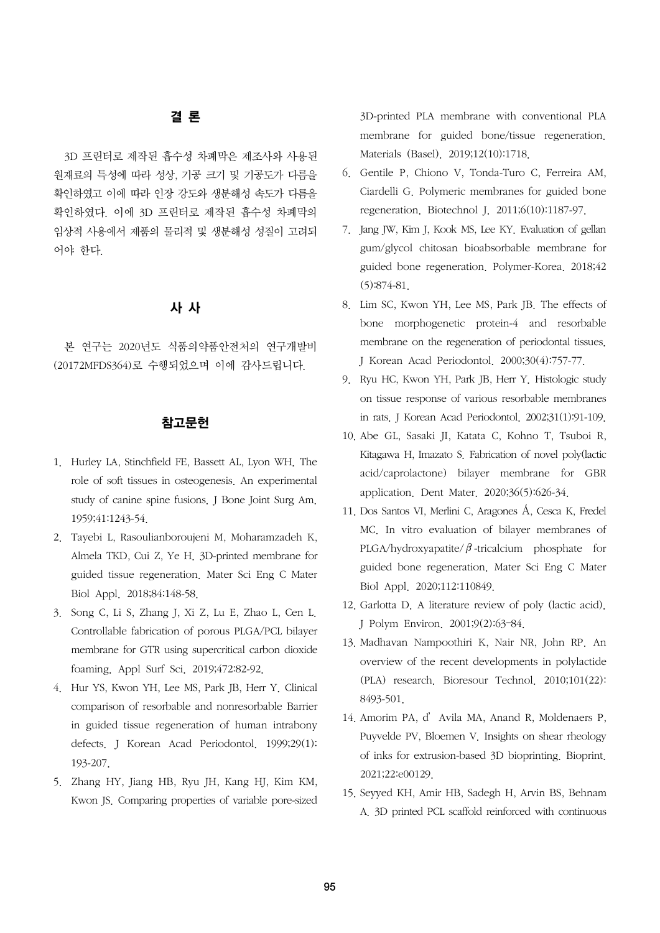## 결 론

3D 프린터로 제작된 흡수성 차폐막은 제조사와 사용된 원재료의 특성에 따라 성상, 기공 크기 및 기공도가 다름을 확인하였고 이에 따라 인장 강도와 생분해성 속도가 다름을 확인하였다. 이에 3D 프린터로 제작된 흡수성 차폐막의 임상적 사용에서 제품의 물리적 및 생분해성 성질이 고려되 어야 한다.

## 사 사

본 연구는 2020년도 식품의약품안전처의 연구개발비 (20172MFDS364)로 수행되었으며 이에 감사드립니다.

### 참고문헌

- 1. Hurley LA, Stinchfield FE, Bassett AL, Lyon WH. The role of soft tissues in osteogenesis. An experimental study of canine spine fusions. J Bone Joint Surg Am. 1959;41:1243-54.
- 2. Tayebi L, Rasoulianboroujeni M, Moharamzadeh K, Almela TKD, Cui Z, Ye H. 3D-printed membrane for guided tissue regeneration. Mater Sci Eng C Mater Biol Appl. 2018;84:148-58.
- 3. Song C, Li S, Zhang J, Xi Z, Lu E, Zhao L, Cen L. Controllable fabrication of porous PLGA/PCL bilayer membrane for GTR using supercritical carbon dioxide foaming. Appl Surf Sci. 2019;472:82-92.
- 4. Hur YS, Kwon YH, Lee MS, Park JB, Herr Y. Clinical comparison of resorbable and nonresorbable Barrier in guided tissue regeneration of human intrabony defects. J Korean Acad Periodontol. 1999;29(1): 193-207.
- 5. Zhang HY, Jiang HB, Ryu JH, Kang HJ, Kim KM, Kwon JS. Comparing properties of variable pore-sized

3D-printed PLA membrane with conventional PLA membrane for guided bone/tissue regeneration. Materials (Basel). 2019;12(10):1718.

- 6. Gentile P, Chiono V, Tonda-Turo C, Ferreira AM, Ciardelli G. Polymeric membranes for guided bone regeneration. Biotechnol J. 2011;6(10):1187-97.
- 7. Jang JW, Kim J, Kook MS, Lee KY. Evaluation of gellan gum/glycol chitosan bioabsorbable membrane for guided bone regeneration. Polymer-Korea. 2018;42 (5):874-81.
- 8. Lim SC, Kwon YH, Lee MS, Park JB. The effects of bone morphogenetic protein-4 and resorbable membrane on the regeneration of periodontal tissues. J Korean Acad Periodontol. 2000;30(4):757-77.
- 9. Ryu HC, Kwon YH, Park JB, Herr Y. Histologic study on tissue response of various resorbable membranes in rats. J Korean Acad Periodontol. 2002;31(1):91-109.
- 10. Abe GL, Sasaki JI, Katata C, Kohno T, Tsuboi R, Kitagawa H, Imazato S. Fabrication of novel poly(lactic acid/caprolactone) bilayer membrane for GBR application. Dent Mater. 2020;36(5):626-34.
- 11. Dos Santos VI, Merlini C, Aragones Á, Cesca K, Fredel MC. In vitro evaluation of bilayer membranes of PLGA/hydroxyapatite/ $\beta$ -tricalcium phosphate for guided bone regeneration. Mater Sci Eng C Mater Biol Appl. 2020;112:110849.
- 12. Garlotta D. A literature review of poly (lactic acid). J Polym Environ. 2001;9(2):63–84.
- 13. Madhavan Nampoothiri K, Nair NR, John RP. An overview of the recent developments in polylactide (PLA) research. Bioresour Technol. 2010;101(22): 8493-501.
- 14. Amorim PA, d'Avila MA, Anand R, Moldenaers P, Puyvelde PV, Bloemen V. Insights on shear rheology of inks for extrusion-based 3D bioprinting. Bioprint. 2021;22:e00129.
- 15. Seyyed KH, Amir HB, Sadegh H, Arvin BS, Behnam A. 3D printed PCL scaffold reinforced with continuous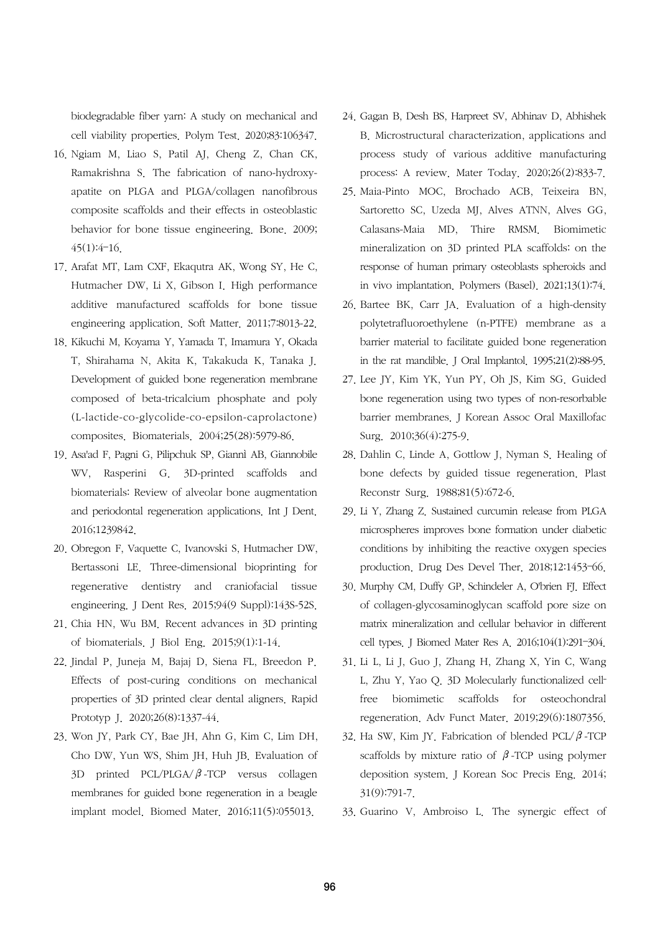biodegradable fiber yarn: A study on mechanical and cell viability properties. Polym Test. 2020;83:106347.

- 16. Ngiam M, Liao S, Patil AJ, Cheng Z, Chan CK, Ramakrishna S. The fabrication of nano-hydroxyapatite on PLGA and PLGA/collagen nanofibrous composite scaffolds and their effects in osteoblastic behavior for bone tissue engineering. Bone. 2009; 45(1):4–16.
- 17. Arafat MT, Lam CXF, Ekaqutra AK, Wong SY, He C, Hutmacher DW, Li X, Gibson I. High performance additive manufactured scaffolds for bone tissue engineering application. Soft Matter. 2011;7:8013-22.
- 18. Kikuchi M, Koyama Y, Yamada T, Imamura Y, Okada T, Shirahama N, Akita K, Takakuda K, Tanaka J. Development of guided bone regeneration membrane composed of beta-tricalcium phosphate and poly (L-lactide-co-glycolide-co-epsilon-caprolactone) composites. Biomaterials. 2004;25(28):5979-86.
- 19. Asa'ad F, Pagni G, Pilipchuk SP, Giannì AB, Giannobile WV, Rasperini G. 3D-printed scaffolds and biomaterials: Review of alveolar bone augmentation and periodontal regeneration applications. Int J Dent. 2016;1239842.
- 20. Obregon F, Vaquette C, Ivanovski S, Hutmacher DW, Bertassoni LE. Three-dimensional bioprinting for regenerative dentistry and craniofacial tissue engineering. J Dent Res. 2015;94(9 Suppl):143S-52S.
- 21. Chia HN, Wu BM. Recent advances in 3D printing of biomaterials. J Biol Eng. 2015;9(1):1-14.
- 22. Jindal P, Juneja M, Bajaj D, Siena FL, Breedon P. Effects of post-curing conditions on mechanical properties of 3D printed clear dental aligners. Rapid Prototyp J. 2020;26(8):1337-44.
- 23. Won JY, Park CY, Bae JH, Ahn G, Kim C, Lim DH, Cho DW, Yun WS, Shim JH, Huh JB. Evaluation of 3D printed PCL/PLGA/ $\beta$ -TCP versus collagen membranes for guided bone regeneration in a beagle implant model. Biomed Mater. 2016;11(5):055013.
- 24. Gagan B, Desh BS, Harpreet SV, Abhinav D, Abhishek B. Microstructural characterization, applications and process study of various additive manufacturing process: A review. Mater Today. 2020;26(2):833-7.
- 25. Maia-Pinto MOC, Brochado ACB, Teixeira BN, Sartoretto SC, Uzeda MJ, Alves ATNN, Alves GG, Calasans-Maia MD, Thire RMSM. Biomimetic mineralization on 3D printed PLA scaffolds: on the response of human primary osteoblasts spheroids and in vivo implantation. Polymers (Basel). 2021;13(1):74.
- 26. Bartee BK, Carr JA. Evaluation of a high-density polytetrafluoroethylene (n-PTFE) membrane as a barrier material to facilitate guided bone regeneration in the rat mandible. J Oral Implantol. 1995;21(2):88-95.
- 27. Lee JY, Kim YK, Yun PY, Oh JS, Kim SG. Guided bone regeneration using two types of non-resorbable barrier membranes. J Korean Assoc Oral Maxillofac Surg. 2010;36(4):275-9.
- 28. Dahlin C, Linde A, Gottlow J, Nyman S. Healing of bone defects by guided tissue regeneration. Plast Reconstr Surg. 1988;81(5):672-6.
- 29. Li Y, Zhang Z. Sustained curcumin release from PLGA microspheres improves bone formation under diabetic conditions by inhibiting the reactive oxygen species production. Drug Des Devel Ther. 2018;12:1453–66.
- 30. Murphy CM, Duffy GP, Schindeler A, O'brien FJ. Effect of collagen-glycosaminoglycan scaffold pore size on matrix mineralization and cellular behavior in different cell types. J Biomed Mater Res A. 2016;104(1):291–304.
- 31. Li L, Li J, Guo J, Zhang H, Zhang X, Yin C, Wang L, Zhu Y, Yao Q. 3D Molecularly functionalized cellfree biomimetic scaffolds for osteochondral regeneration. Adv Funct Mater. 2019;29(6):1807356.
- 32. Ha SW, Kim JY. Fabrication of blended PCL/ $\beta$ -TCP scaffolds by mixture ratio of  $\beta$ -TCP using polymer deposition system. J Korean Soc Precis Eng. 2014; 31(9):791-7.
- 33. Guarino V, Ambroiso L. The synergic effect of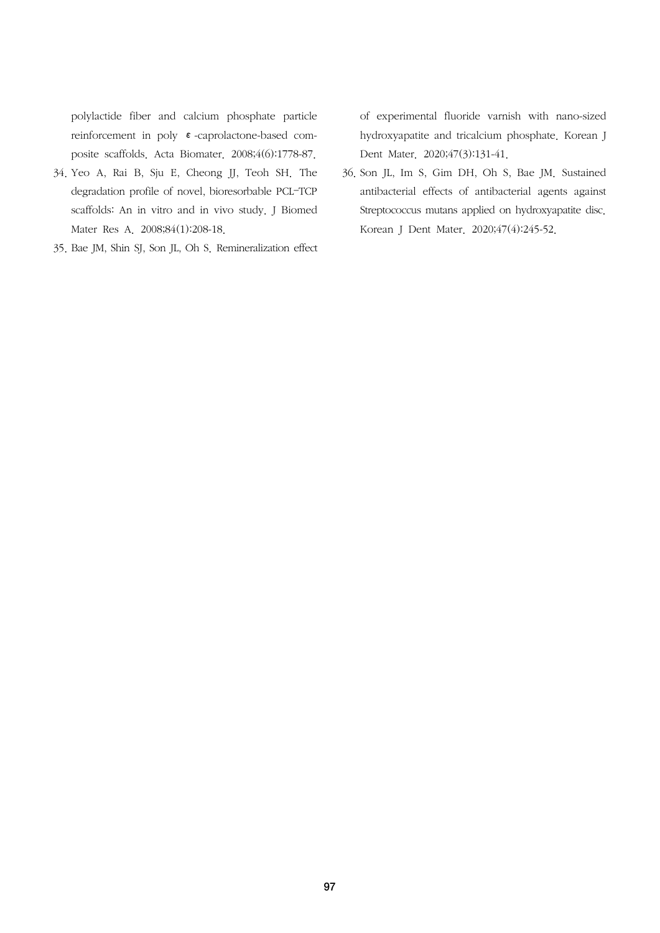polylactide fiber and calcium phosphate particle reinforcement in poly ε-caprolactone-based composite scaffolds. Acta Biomater. 2008;4(6):1778-87.

- 34. Yeo A, Rai B, Sju E, Cheong JJ, Teoh SH. The degradation profile of novel, bioresorbable PCL–TCP scaffolds: An in vitro and in vivo study. J Biomed Mater Res A. 2008;84(1):208-18.
- 35. Bae JM, Shin SJ, Son JL, Oh S. Remineralization effect

of experimental fluoride varnish with nano-sized hydroxyapatite and tricalcium phosphate. Korean J Dent Mater. 2020;47(3):131-41.

36. Son JL, Im S, Gim DH, Oh S, Bae JM. Sustained antibacterial effects of antibacterial agents against Streptococcus mutans applied on hydroxyapatite disc. Korean J Dent Mater. 2020;47(4):245-52.